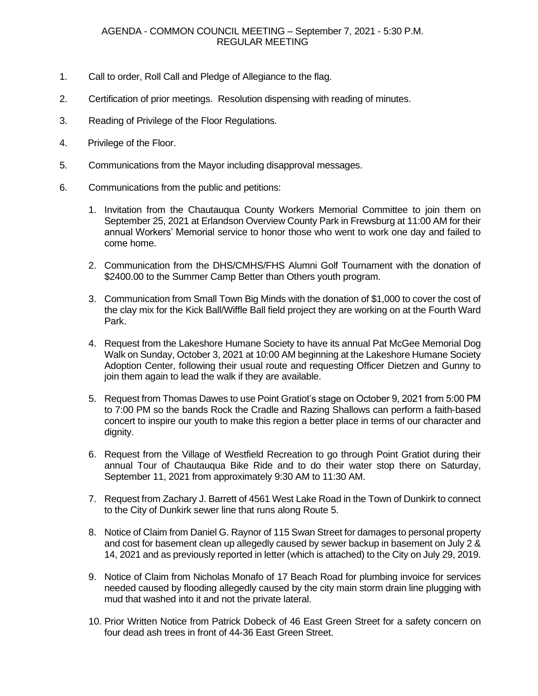- 1. Call to order, Roll Call and Pledge of Allegiance to the flag.
- 2. Certification of prior meetings. Resolution dispensing with reading of minutes.
- 3. Reading of Privilege of the Floor Regulations.
- 4. Privilege of the Floor.
- 5. Communications from the Mayor including disapproval messages.
- 6. Communications from the public and petitions:
	- 1. Invitation from the Chautauqua County Workers Memorial Committee to join them on September 25, 2021 at Erlandson Overview County Park in Frewsburg at 11:00 AM for their annual Workers' Memorial service to honor those who went to work one day and failed to come home.
	- 2. Communication from the DHS/CMHS/FHS Alumni Golf Tournament with the donation of \$2400.00 to the Summer Camp Better than Others youth program.
	- 3. Communication from Small Town Big Minds with the donation of \$1,000 to cover the cost of the clay mix for the Kick Ball/Wiffle Ball field project they are working on at the Fourth Ward Park.
	- 4. Request from the Lakeshore Humane Society to have its annual Pat McGee Memorial Dog Walk on Sunday, October 3, 2021 at 10:00 AM beginning at the Lakeshore Humane Society Adoption Center, following their usual route and requesting Officer Dietzen and Gunny to join them again to lead the walk if they are available.
	- 5. Request from Thomas Dawes to use Point Gratiot's stage on October 9, 2021 from 5:00 PM to 7:00 PM so the bands Rock the Cradle and Razing Shallows can perform a faith-based concert to inspire our youth to make this region a better place in terms of our character and dignity.
	- 6. Request from the Village of Westfield Recreation to go through Point Gratiot during their annual Tour of Chautauqua Bike Ride and to do their water stop there on Saturday, September 11, 2021 from approximately 9:30 AM to 11:30 AM.
	- 7. Request from Zachary J. Barrett of 4561 West Lake Road in the Town of Dunkirk to connect to the City of Dunkirk sewer line that runs along Route 5.
	- 8. Notice of Claim from Daniel G. Raynor of 115 Swan Street for damages to personal property and cost for basement clean up allegedly caused by sewer backup in basement on July 2 & 14, 2021 and as previously reported in letter (which is attached) to the City on July 29, 2019.
	- 9. Notice of Claim from Nicholas Monafo of 17 Beach Road for plumbing invoice for services needed caused by flooding allegedly caused by the city main storm drain line plugging with mud that washed into it and not the private lateral.
	- 10. Prior Written Notice from Patrick Dobeck of 46 East Green Street for a safety concern on four dead ash trees in front of 44-36 East Green Street.